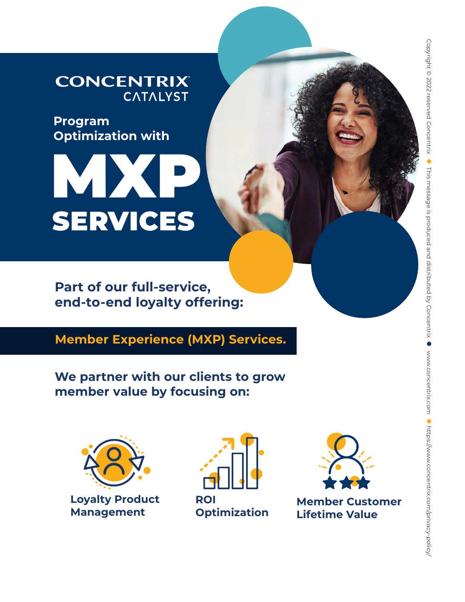### **CONCENTRIX CATALYST**

**Program Optimization with**

# MXP SERVICES

**Part of our full-service, end-to-end loyalty offering:**

**Member Experience (MXP) Services.**

**We partner with our clients to grow member value by focusing on:**



**Loyalty Product Management**



**ROI Optimization**



**Member Customer Lifetime Value**